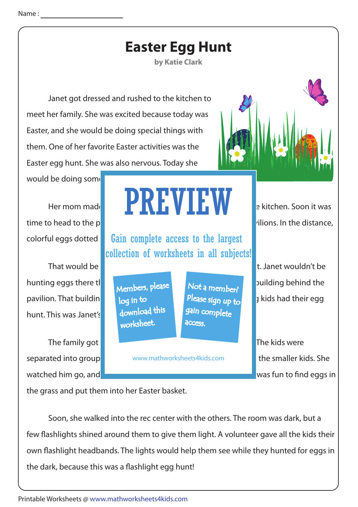| <b>Easter Egg Hunt</b> |  |  |
|------------------------|--|--|
|------------------------|--|--|

**by Katie Clark**

 Janet got dressed and rushed to the kitchen to meet her family. She was excited because today was Easter, and she would be doing special things with them. One of her favorite Easter activities was the Easter egg hunt. She was also nervous. Today she

would be doing some

colorful eggs dotted

hunting eggs there the state of the base **Instead, she would have building behind the** pavilion. That building  $\log$  to the recent state  $\log$  and  $\log$  in the big kids had their egg hunt. This was Janet's

The family got **out of their care at the pavilion of the pavilion**. The kids were

## Her mom made to start for every start for everyone, then the start for everyone, then the kitchen. Soon it was PREVIEW

Gain complete access to the largest collection of worksheets in all subjects!

Members, please download this worksheet. log in to

Not a member? gain complete Please sign up to **access** 

separated into group and www.mathworksheets4kids.com **business in the smaller kids. She** 

time to head to the part. A large crowd gathered at one of the park. A large crowd gathered at one of the park.

That would be where the little kids had the little kids had the little kids had the little kids had the little

watched him go, and she almost with him. It was fun to find eggs in

the grass and put them into her Easter basket.

 Soon, she walked into the rec center with the others. The room was dark, but a few flashlights shined around them to give them light. A volunteer gave all the kids their own flashlight headbands. The lights would help them see while they hunted for eggs in the dark, because this was a flashlight egg hunt!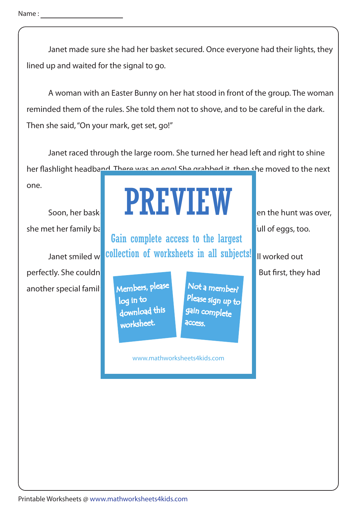Name : \_\_\_\_\_\_\_

 Janet made sure she had her basket secured. Once everyone had their lights, they lined up and waited for the signal to go.

 A woman with an Easter Bunny on her hat stood in front of the group. The woman reminded them of the rules. She told them not to shove, and to be careful in the dark. Then she said, "On your mark, get set, go!"

 Janet raced through the large room. She turned her head left and right to shine her flashlight headband. There was an equil She grabbed it, then she moved to the next

one.

she met her family back at the pavilion of pavilion. Christopher had a base full of eggs, too.

perfectly. She couldn another special family

## Soon, her basket and all the funt was over,

Janet smiled w**ith allection of worksheets in all subjects!** If worked out Gain complete access to the largest

> Members, please download this worksheet. log in to

Not a member? gain complete Please sign up to **access** 

www.mathworksheets4kids.com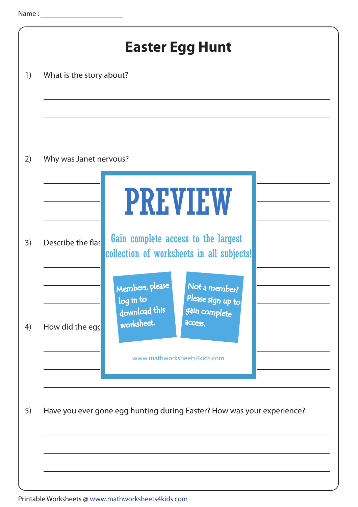| Why was Janet nervous? |                                                                                                                              |
|------------------------|------------------------------------------------------------------------------------------------------------------------------|
|                        | <b>PREVIEW</b>                                                                                                               |
| Describe the flas      | Gain complete access to the largest<br>collection of worksheets in all subjects!                                             |
| How did the egg        | Members, please<br>Not a member<br>Please sign up to<br>log in to<br>download this<br>gain complete<br>worksheet.<br>access. |
|                        | www.mathworksheets4kids.com                                                                                                  |
|                        | Have you ever gone egg hunting during Easter? How was your experience?                                                       |